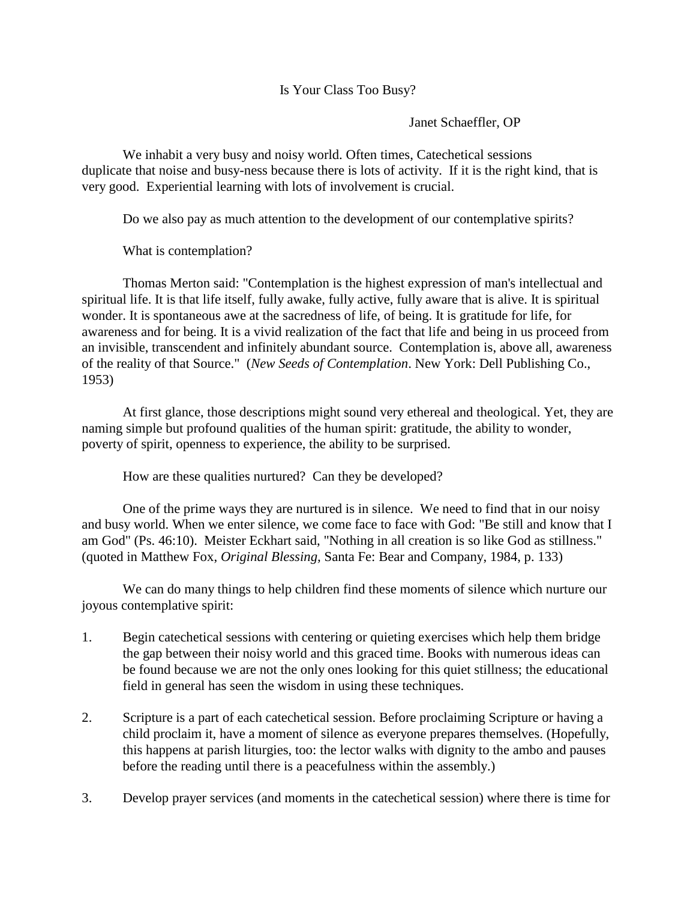## Is Your Class Too Busy?

Janet Schaeffler, OP

We inhabit a very busy and noisy world. Often times, Catechetical sessions duplicate that noise and busy-ness because there is lots of activity. If it is the right kind, that is very good. Experiential learning with lots of involvement is crucial.

Do we also pay as much attention to the development of our contemplative spirits?

What is contemplation?

Thomas Merton said: "Contemplation is the highest expression of man's intellectual and spiritual life. It is that life itself, fully awake, fully active, fully aware that is alive. It is spiritual wonder. It is spontaneous awe at the sacredness of life, of being. It is gratitude for life, for awareness and for being. It is a vivid realization of the fact that life and being in us proceed from an invisible, transcendent and infinitely abundant source. Contemplation is, above all, awareness of the reality of that Source." (*New Seeds of Contemplation*. New York: Dell Publishing Co., 1953)

At first glance, those descriptions might sound very ethereal and theological. Yet, they are naming simple but profound qualities of the human spirit: gratitude, the ability to wonder, poverty of spirit, openness to experience, the ability to be surprised.

How are these qualities nurtured? Can they be developed?

One of the prime ways they are nurtured is in silence. We need to find that in our noisy and busy world. When we enter silence, we come face to face with God: "Be still and know that I am God" (Ps. 46:10). Meister Eckhart said, "Nothing in all creation is so like God as stillness." (quoted in Matthew Fox, *Original Blessing,* Santa Fe: Bear and Company, 1984, p. 133)

We can do many things to help children find these moments of silence which nurture our joyous contemplative spirit:

- 1. Begin catechetical sessions with centering or quieting exercises which help them bridge the gap between their noisy world and this graced time. Books with numerous ideas can be found because we are not the only ones looking for this quiet stillness; the educational field in general has seen the wisdom in using these techniques.
- 2. Scripture is a part of each catechetical session. Before proclaiming Scripture or having a child proclaim it, have a moment of silence as everyone prepares themselves. (Hopefully, this happens at parish liturgies, too: the lector walks with dignity to the ambo and pauses before the reading until there is a peacefulness within the assembly.)
- 3. Develop prayer services (and moments in the catechetical session) where there is time for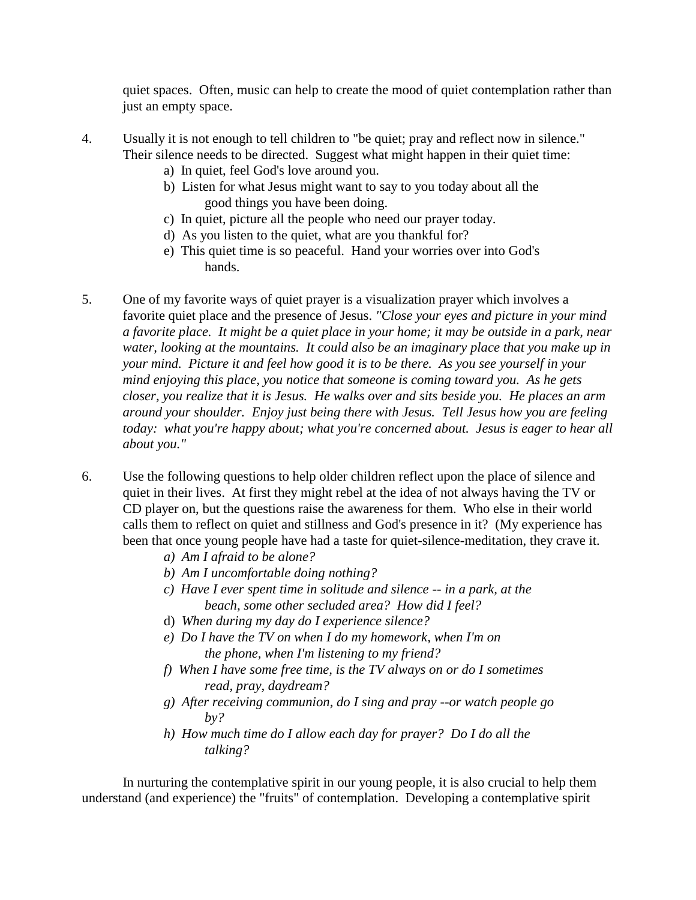quiet spaces. Often, music can help to create the mood of quiet contemplation rather than just an empty space.

- 4. Usually it is not enough to tell children to "be quiet; pray and reflect now in silence." Their silence needs to be directed. Suggest what might happen in their quiet time:
	- a) In quiet, feel God's love around you.
	- b) Listen for what Jesus might want to say to you today about all the good things you have been doing.
	- c) In quiet, picture all the people who need our prayer today.
	- d) As you listen to the quiet, what are you thankful for?
	- e) This quiet time is so peaceful. Hand your worries over into God's hands.
- 5. One of my favorite ways of quiet prayer is a visualization prayer which involves a favorite quiet place and the presence of Jesus. *"Close your eyes and picture in your mind a favorite place. It might be a quiet place in your home; it may be outside in a park, near water, looking at the mountains. It could also be an imaginary place that you make up in your mind. Picture it and feel how good it is to be there. As you see yourself in your mind enjoying this place, you notice that someone is coming toward you. As he gets closer, you realize that it is Jesus. He walks over and sits beside you. He places an arm around your shoulder. Enjoy just being there with Jesus. Tell Jesus how you are feeling today: what you're happy about; what you're concerned about. Jesus is eager to hear all about you."*
- 6. Use the following questions to help older children reflect upon the place of silence and quiet in their lives. At first they might rebel at the idea of not always having the TV or CD player on, but the questions raise the awareness for them. Who else in their world calls them to reflect on quiet and stillness and God's presence in it? (My experience has been that once young people have had a taste for quiet-silence-meditation, they crave it.
	- *a) Am I afraid to be alone?*
	- *b) Am I uncomfortable doing nothing?*
	- *c) Have I ever spent time in solitude and silence -- in a park, at the beach, some other secluded area? How did I feel?*
	- d) *When during my day do I experience silence?*
	- *e) Do I have the TV on when I do my homework, when I'm on the phone, when I'm listening to my friend?*
	- *f) When I have some free time, is the TV always on or do I sometimes read, pray, daydream?*
	- *g) After receiving communion, do I sing and pray --or watch people go by?*
	- *h) How much time do I allow each day for prayer? Do I do all the talking?*

In nurturing the contemplative spirit in our young people, it is also crucial to help them understand (and experience) the "fruits" of contemplation. Developing a contemplative spirit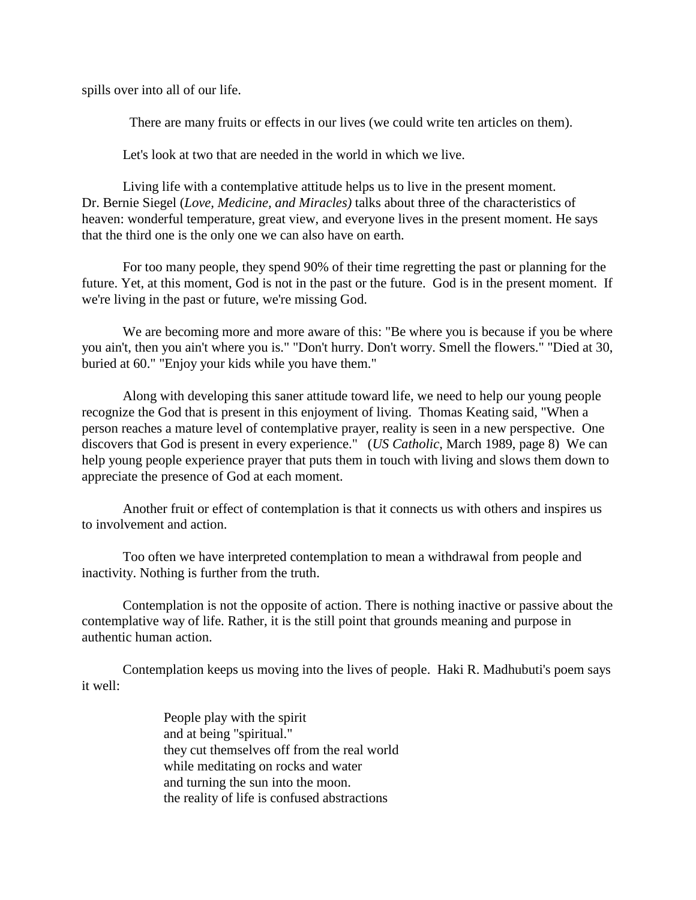spills over into all of our life.

There are many fruits or effects in our lives (we could write ten articles on them).

Let's look at two that are needed in the world in which we live.

Living life with a contemplative attitude helps us to live in the present moment. Dr. Bernie Siegel (*Love, Medicine, and Miracles)* talks about three of the characteristics of heaven: wonderful temperature, great view, and everyone lives in the present moment. He says that the third one is the only one we can also have on earth.

For too many people, they spend 90% of their time regretting the past or planning for the future. Yet, at this moment, God is not in the past or the future. God is in the present moment. If we're living in the past or future, we're missing God.

We are becoming more and more aware of this: "Be where you is because if you be where you ain't, then you ain't where you is." "Don't hurry. Don't worry. Smell the flowers." "Died at 30, buried at 60." "Enjoy your kids while you have them."

Along with developing this saner attitude toward life, we need to help our young people recognize the God that is present in this enjoyment of living. Thomas Keating said, "When a person reaches a mature level of contemplative prayer, reality is seen in a new perspective. One discovers that God is present in every experience." (*US Catholic*, March 1989, page 8) We can help young people experience prayer that puts them in touch with living and slows them down to appreciate the presence of God at each moment.

Another fruit or effect of contemplation is that it connects us with others and inspires us to involvement and action.

Too often we have interpreted contemplation to mean a withdrawal from people and inactivity. Nothing is further from the truth.

Contemplation is not the opposite of action. There is nothing inactive or passive about the contemplative way of life. Rather, it is the still point that grounds meaning and purpose in authentic human action.

Contemplation keeps us moving into the lives of people. Haki R. Madhubuti's poem says it well:

> People play with the spirit and at being "spiritual." they cut themselves off from the real world while meditating on rocks and water and turning the sun into the moon. the reality of life is confused abstractions